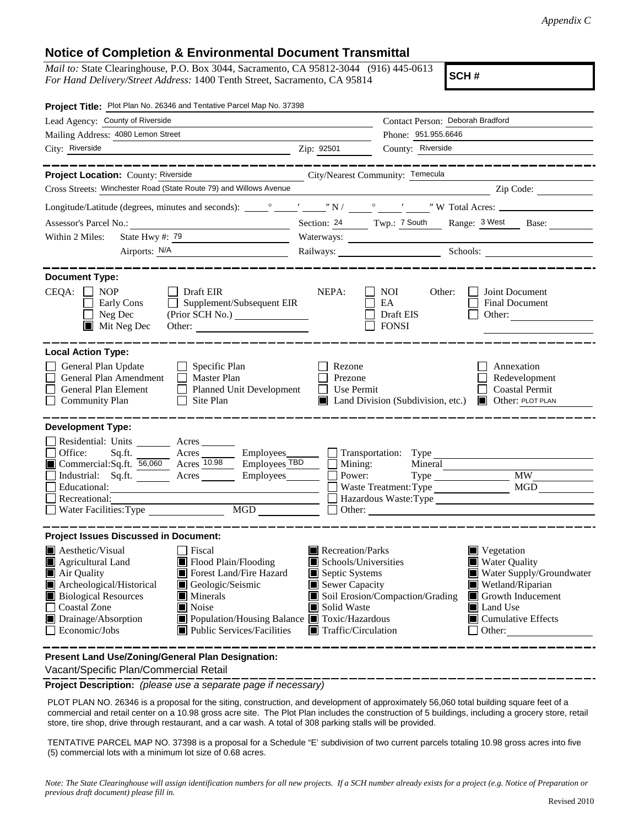## **Notice of Completion & Environmental Document Transmittal**

*Mail to:* State Clearinghouse, P.O. Box 3044, Sacramento, CA 95812-3044 (916) 445-0613 *For Hand Delivery/Street Address:* 1400 Tenth Street, Sacramento, CA 95814

**SCH #**

| Project Title: Plot Plan No. 26346 and Tentative Parcel Map No. 37398                                                                                                                                                                                                                                                                                                                                                                  |                                                                                                                                   |                                                                  |                                                                                                                                                                                                                                                                                                                                                                                                                                                                                 |
|----------------------------------------------------------------------------------------------------------------------------------------------------------------------------------------------------------------------------------------------------------------------------------------------------------------------------------------------------------------------------------------------------------------------------------------|-----------------------------------------------------------------------------------------------------------------------------------|------------------------------------------------------------------|---------------------------------------------------------------------------------------------------------------------------------------------------------------------------------------------------------------------------------------------------------------------------------------------------------------------------------------------------------------------------------------------------------------------------------------------------------------------------------|
| Lead Agency: County of Riverside                                                                                                                                                                                                                                                                                                                                                                                                       |                                                                                                                                   | Contact Person: Deborah Bradford                                 |                                                                                                                                                                                                                                                                                                                                                                                                                                                                                 |
| Mailing Address: 4080 Lemon Street                                                                                                                                                                                                                                                                                                                                                                                                     |                                                                                                                                   | Phone: 951.955.6646                                              |                                                                                                                                                                                                                                                                                                                                                                                                                                                                                 |
| City: Riverside                                                                                                                                                                                                                                                                                                                                                                                                                        | Zip: 92501                                                                                                                        | County: Riverside                                                |                                                                                                                                                                                                                                                                                                                                                                                                                                                                                 |
| __________                                                                                                                                                                                                                                                                                                                                                                                                                             |                                                                                                                                   |                                                                  | _______________                                                                                                                                                                                                                                                                                                                                                                                                                                                                 |
| Project Location: County: Riverside                                                                                                                                                                                                                                                                                                                                                                                                    |                                                                                                                                   | City/Nearest Community: Temecula                                 |                                                                                                                                                                                                                                                                                                                                                                                                                                                                                 |
| Cross Streets: Winchester Road (State Route 79) and Willows Avenue                                                                                                                                                                                                                                                                                                                                                                     |                                                                                                                                   |                                                                  | $\overline{\phantom{a}}$ $\overline{\phantom{a}}$ $\overline{\phantom{a}}$ $\overline{\phantom{a}}$ $\overline{\phantom{a}}$ $\overline{\phantom{a}}$ $\overline{\phantom{a}}$ $\overline{\phantom{a}}$ $\overline{\phantom{a}}$ $\overline{\phantom{a}}$ $\overline{\phantom{a}}$ $\overline{\phantom{a}}$ $\overline{\phantom{a}}$ $\overline{\phantom{a}}$ $\overline{\phantom{a}}$ $\overline{\phantom{a}}$ $\overline{\phantom{a}}$ $\overline{\phantom{a}}$ $\overline{\$ |
|                                                                                                                                                                                                                                                                                                                                                                                                                                        |                                                                                                                                   |                                                                  |                                                                                                                                                                                                                                                                                                                                                                                                                                                                                 |
|                                                                                                                                                                                                                                                                                                                                                                                                                                        |                                                                                                                                   |                                                                  | Section: 24 Twp.: 7 South Range: 3 West Base:                                                                                                                                                                                                                                                                                                                                                                                                                                   |
| State Hwy $\#$ : 79<br>Within 2 Miles:                                                                                                                                                                                                                                                                                                                                                                                                 |                                                                                                                                   |                                                                  |                                                                                                                                                                                                                                                                                                                                                                                                                                                                                 |
| Airports: N/A                                                                                                                                                                                                                                                                                                                                                                                                                          |                                                                                                                                   |                                                                  | Railways: Schools: Schools:                                                                                                                                                                                                                                                                                                                                                                                                                                                     |
| <b>Document Type:</b>                                                                                                                                                                                                                                                                                                                                                                                                                  |                                                                                                                                   |                                                                  |                                                                                                                                                                                                                                                                                                                                                                                                                                                                                 |
| $CEQA: \Box NOP$<br>$\Box$ Draft EIR<br>Supplement/Subsequent EIR<br>Early Cons<br>$\Box$<br>Neg Dec<br>$\blacksquare$ Mit Neg Dec<br>Other:                                                                                                                                                                                                                                                                                           | NEPA:                                                                                                                             | NOI<br>Other:<br>EA<br>Draft EIS<br><b>FONSI</b>                 | Joint Document<br>Final Document<br>Other:                                                                                                                                                                                                                                                                                                                                                                                                                                      |
| <b>Local Action Type:</b><br>General Plan Update<br>$\Box$ Specific Plan<br>General Plan Amendment<br>$\Box$ Master Plan<br>General Plan Element<br>Planned Unit Development<br><b>Community Plan</b><br>Site Plan<br>$\perp$                                                                                                                                                                                                          | Rezone<br>Prezone<br>Use Permit                                                                                                   | Land Division (Subdivision, etc.) <b>D</b> Other: PLOT PLAN      | Annexation<br>Redevelopment<br><b>Coastal Permit</b>                                                                                                                                                                                                                                                                                                                                                                                                                            |
| <b>Development Type:</b>                                                                                                                                                                                                                                                                                                                                                                                                               |                                                                                                                                   |                                                                  |                                                                                                                                                                                                                                                                                                                                                                                                                                                                                 |
| Residential: Units ________ Acres _______<br>Office:<br>Sq.ft. ________ Acres _________ Employees_________ [<br>Commercial:Sq.ft. 56,060 Acres 10.98 Employees TBD<br>Industrial: Sq.ft.<br>Employees<br>Acres<br>Educational:<br>Recreational:<br>Water Facilities: Type                                                                                                                                                              | Mining:<br>Power:                                                                                                                 | Mineral<br>Type<br>Waste Treatment: Type<br>$\Box$ Other: $\Box$ | $\overline{\text{MW}}$<br><b>MGD</b><br>Hazardous Waste: Type                                                                                                                                                                                                                                                                                                                                                                                                                   |
| <b>Project Issues Discussed in Document:</b>                                                                                                                                                                                                                                                                                                                                                                                           |                                                                                                                                   |                                                                  |                                                                                                                                                                                                                                                                                                                                                                                                                                                                                 |
| $\blacksquare$ Aesthetic/Visual<br><b>□</b> Fiscal<br>Flood Plain/Flooding<br>Agricultural Land<br>Forest Land/Fire Hazard<br>$\blacksquare$ Air Quality<br>Archeological/Historical<br>Geologic/Seismic<br><b>Biological Resources</b><br>$\blacksquare$ Minerals<br><b>Coastal Zone</b><br>Noise<br>Drainage/Absorption<br>Population/Housing Balance <b>T</b> Toxic/Hazardous<br>$\Box$ Economic/Jobs<br>Public Services/Facilities | Recreation/Parks<br>Schools/Universities<br>Septic Systems<br>Sewer Capacity<br>Solid Waste<br>$\blacksquare$ Traffic/Circulation | Soil Erosion/Compaction/Grading                                  | Vegetation<br><b>Water Quality</b><br>Water Supply/Groundwater<br>Wetland/Riparian<br>Growth Inducement<br>Land Use<br>$\blacksquare$ Cumulative Effects<br>Other:                                                                                                                                                                                                                                                                                                              |
| Present Land Use/Zoning/General Plan Designation:                                                                                                                                                                                                                                                                                                                                                                                      |                                                                                                                                   |                                                                  |                                                                                                                                                                                                                                                                                                                                                                                                                                                                                 |

Vacant/Specific Plan/Commercial Retail

**Project Description:** *(please use a separate page if necessary)*

 PLOT PLAN NO. 26346 is a proposal for the siting, construction, and development of approximately 56,060 total building square feet of a commercial and retail center on a 10.98 gross acre site. The Plot Plan includes the construction of 5 buildings, including a grocery store, retail store, tire shop, drive through restaurant, and a car wash. A total of 308 parking stalls will be provided.

TENTATIVE PARCEL MAP NO. 37398 is a proposal for a Schedule "E' subdivision of two current parcels totaling 10.98 gross acres into five (5) commercial lots with a minimum lot size of 0.68 acres.

*Note: The State Clearinghouse will assign identification numbers for all new projects. If a SCH number already exists for a project (e.g. Notice of Preparation or previous draft document) please fill in.*